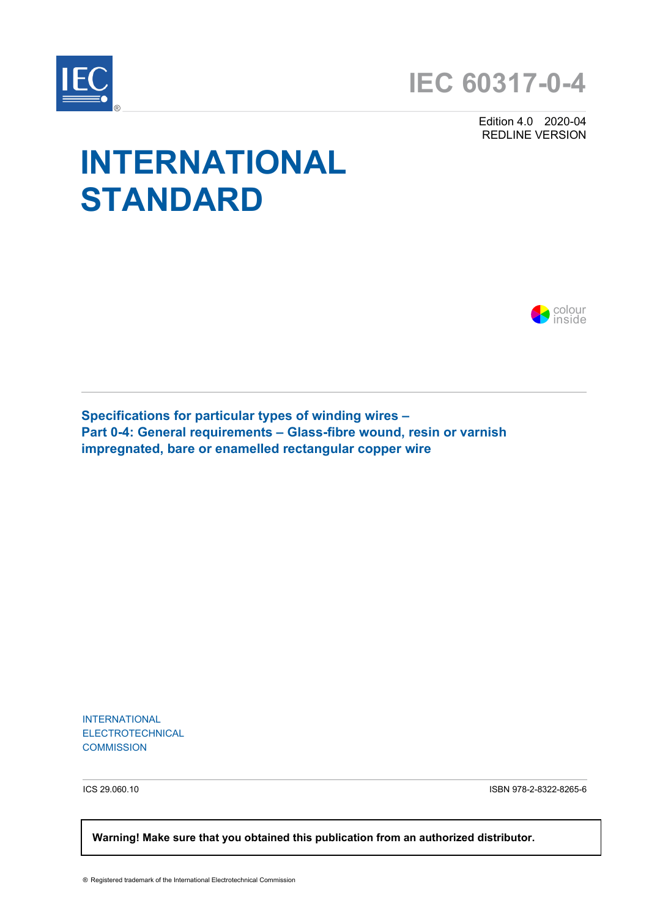



Edition 4.0 2020-04 REDLINE VERSION

# **INTERNATIONAL STANDARD**



**Specifications for particular types of winding wires – Part 0-4: General requirements – Glass-fibre wound, resin or varnish impregnated, bare or enamelled rectangular copper wire** 

INTERNATIONAL ELECTROTECHNICAL **COMMISSION** 

ICS 29.060.10

ISBN 978-2-8322-8265-6

 **Warning! Make sure that you obtained this publication from an authorized distributor.**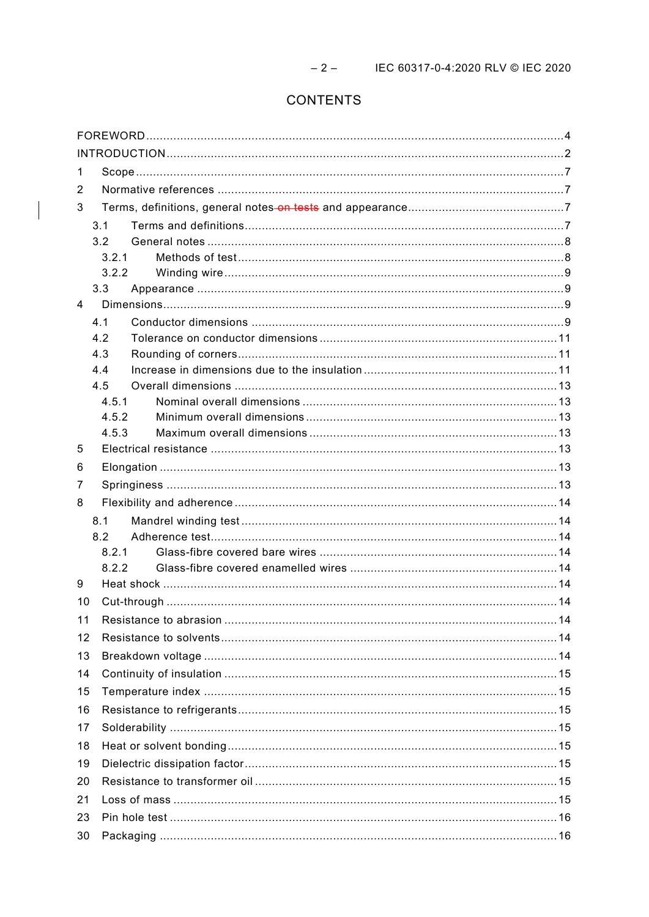## **CONTENTS**

 $\overline{\phantom{a}}$ 

<span id="page-1-0"></span>

| 2            |  |  |  |
|--------------|--|--|--|
| 3            |  |  |  |
| 3.1          |  |  |  |
| 3.2          |  |  |  |
| 3.2.1        |  |  |  |
| 3.2.2        |  |  |  |
| 3.3          |  |  |  |
| 4            |  |  |  |
| 4.1          |  |  |  |
| 4.2          |  |  |  |
| 4.3          |  |  |  |
| 4.4          |  |  |  |
| 4.5<br>4.5.1 |  |  |  |
| 4.5.2        |  |  |  |
| 4.5.3        |  |  |  |
| 5            |  |  |  |
|              |  |  |  |
| 6<br>7       |  |  |  |
| 8            |  |  |  |
|              |  |  |  |
| 8.1<br>8.2   |  |  |  |
| 8.2.1        |  |  |  |
| 8.2.2        |  |  |  |
| 9            |  |  |  |
| 10           |  |  |  |
| 11           |  |  |  |
|              |  |  |  |
| 12           |  |  |  |
| 13           |  |  |  |
| 14           |  |  |  |
| 15           |  |  |  |
| 16           |  |  |  |
| 17           |  |  |  |
| 18           |  |  |  |
| 19           |  |  |  |
| 20           |  |  |  |
| 21           |  |  |  |
| 23           |  |  |  |
| 30           |  |  |  |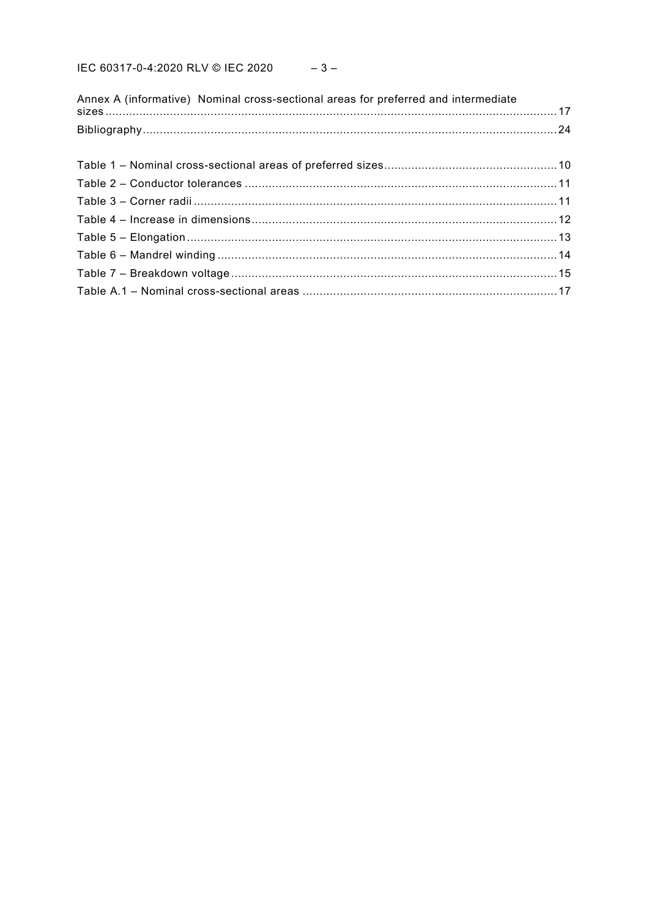| Annex A (informative) Nominal cross-sectional areas for preferred and intermediate |  |
|------------------------------------------------------------------------------------|--|
|                                                                                    |  |
|                                                                                    |  |
|                                                                                    |  |
|                                                                                    |  |
|                                                                                    |  |
|                                                                                    |  |
|                                                                                    |  |
|                                                                                    |  |
|                                                                                    |  |
|                                                                                    |  |
|                                                                                    |  |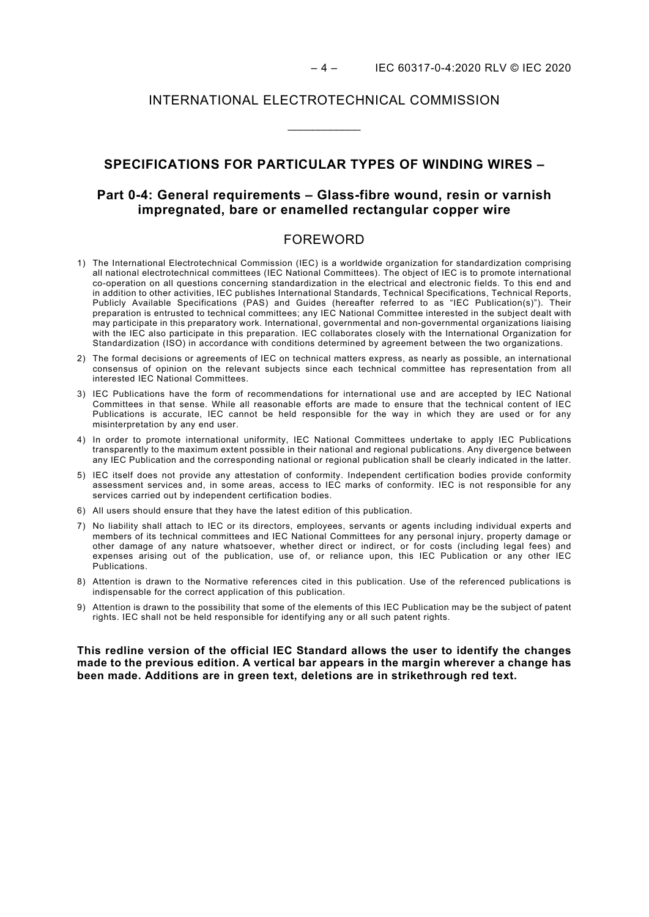#### INTERNATIONAL ELECTROTECHNICAL COMMISSION

## **SPECIFICATIONS FOR PARTICULAR TYPES OF WINDING WIRES –**

### **Part 0-4: General requirements – Glass-fibre wound, resin or varnish impregnated, bare or enamelled rectangular copper wire**

#### FOREWORD

- <span id="page-3-0"></span>1) The International Electrotechnical Commission (IEC) is a worldwide organization for standardization comprising all national electrotechnical committees (IEC National Committees). The object of IEC is to promote international co-operation on all questions concerning standardization in the electrical and electronic fields. To this end and in addition to other activities, IEC publishes International Standards, Technical Specifications, Technical Reports, Publicly Available Specifications (PAS) and Guides (hereafter referred to as "IEC Publication(s)"). Their preparation is entrusted to technical committees; any IEC National Committee interested in the subject dealt with may participate in this preparatory work. International, governmental and non-governmental organizations liaising with the IEC also participate in this preparation. IEC collaborates closely with the International Organization for Standardization (ISO) in accordance with conditions determined by agreement between the two organizations.
- 2) The formal decisions or agreements of IEC on technical matters express, as nearly as possible, an international consensus of opinion on the relevant subjects since each technical committee has representation from all interested IEC National Committees.
- 3) IEC Publications have the form of recommendations for international use and are accepted by IEC National Committees in that sense. While all reasonable efforts are made to ensure that the technical content of IEC Publications is accurate, IEC cannot be held responsible for the way in which they are used or for any misinterpretation by any end user.
- 4) In order to promote international uniformity, IEC National Committees undertake to apply IEC Publications transparently to the maximum extent possible in their national and regional publications. Any divergence between any IEC Publication and the corresponding national or regional publication shall be clearly indicated in the latter.
- 5) IEC itself does not provide any attestation of conformity. Independent certification bodies provide conformity assessment services and, in some areas, access to IEC marks of conformity. IEC is not responsible for any services carried out by independent certification bodies.
- 6) All users should ensure that they have the latest edition of this publication.
- 7) No liability shall attach to IEC or its directors, employees, servants or agents including individual experts and members of its technical committees and IEC National Committees for any personal injury, property damage or other damage of any nature whatsoever, whether direct or indirect, or for costs (including legal fees) and expenses arising out of the publication, use of, or reliance upon, this IEC Publication or any other IEC Publications.
- 8) Attention is drawn to the Normative references cited in this publication. Use of the referenced publications is indispensable for the correct application of this publication.
- 9) Attention is drawn to the possibility that some of the elements of this IEC Publication may be the subject of patent rights. IEC shall not be held responsible for identifying any or all such patent rights.

**This redline version of the official IEC Standard allows the user to identify the changes made to the previous edition. A vertical bar appears in the margin wherever a change has been made. Additions are in green text, deletions are in strikethrough red text.**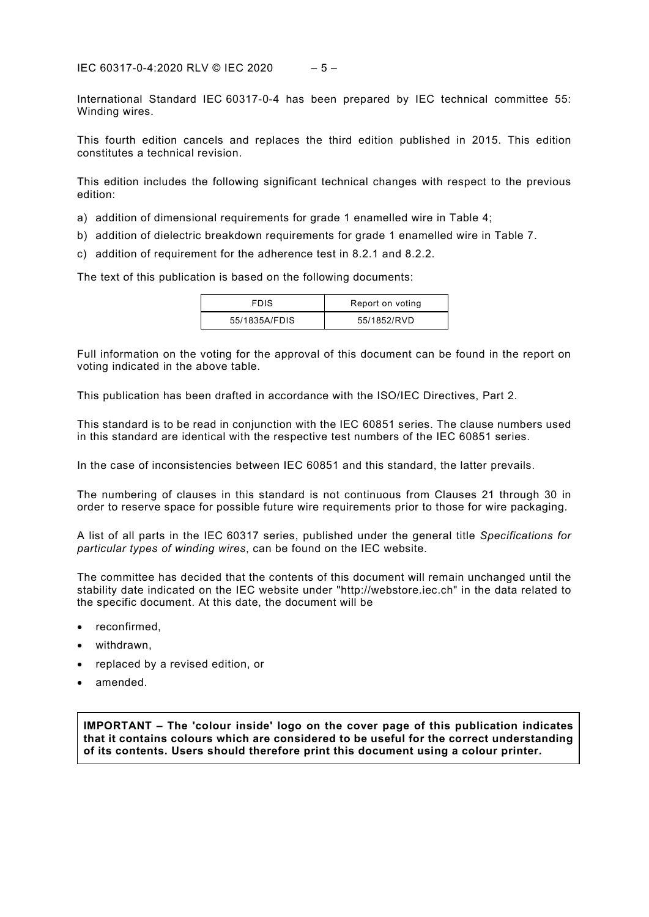International Standard IEC 60317-0-4 has been prepared by IEC technical committee 55: Winding wires.

This fourth edition cancels and replaces the third edition published in 2015. This edition constitutes a technical revision.

This edition includes the following significant technical changes with respect to the previous edition:

- a) addition of dimensional requirements for grade 1 enamelled wire in Table 4;
- b) addition of dielectric breakdown requirements for grade 1 enamelled wire in Table 7.
- c) addition of requirement for the adherence test in 8.2.1 and 8.2.2.

The text of this publication is based on the following documents:

| <b>FDIS</b>   | Report on voting |
|---------------|------------------|
| 55/1835A/FDIS | 55/1852/RVD      |

Full information on the voting for the approval of this document can be found in the report on voting indicated in the above table.

This publication has been drafted in accordance with the ISO/IEC Directives, Part 2.

This standard is to be read in conjunction with the IEC 60851 series. The clause numbers used in this standard are identical with the respective test numbers of the IEC 60851 series.

In the case of inconsistencies between IEC 60851 and this standard, the latter prevails.

The numbering of clauses in this standard is not continuous from Clauses 21 through 30 in order to reserve space for possible future wire requirements prior to those for wire packaging.

A list of all parts in the IEC 60317 series, published under the general title *Specifications for particular types of winding wires*, can be found on the IEC website.

The committee has decided that the contents of this document will remain unchanged until the stability date indicated on the IEC website under "http://webstore.iec.ch" in the data related to the specific document. At this date, the document will be

- reconfirmed,
- withdrawn.
- replaced by a revised edition, or
- amended.

**IMPORTANT – The 'colour inside' logo on the cover page of this publication indicates that it contains colours which are considered to be useful for the correct understanding of its contents. Users should therefore print this document using a colour printer.**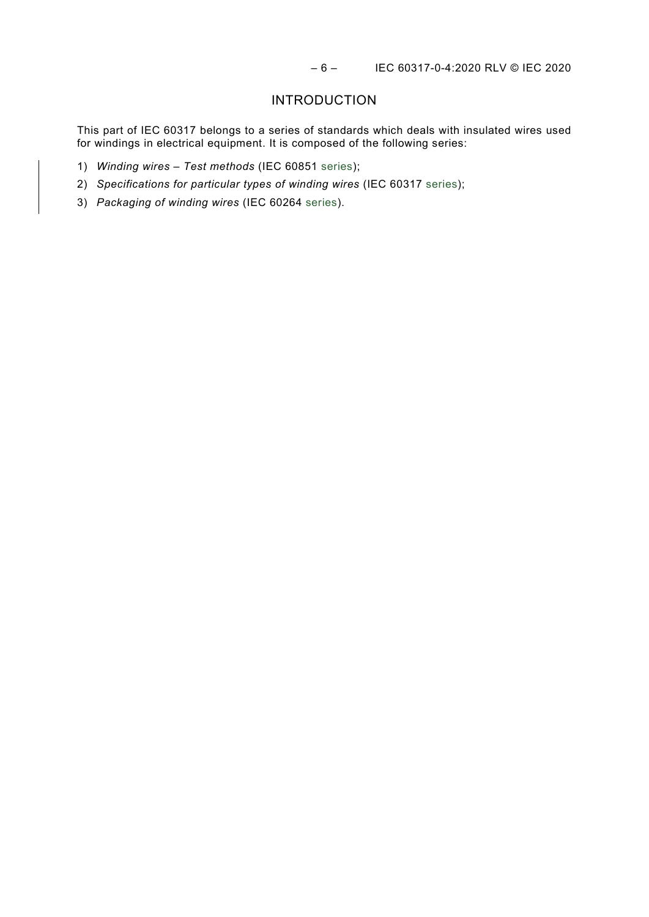## INTRODUCTION

This part of IEC 60317 belongs to a series of standards which deals with insulated wires used for windings in electrical equipment. It is composed of the following series:

- 1) *Winding wires Test methods* (IEC 60851 series);
- 2) *Specifications for particular types of winding wires* (IEC 60317 series);
- 3) *Packaging of winding wires* (IEC 60264 series).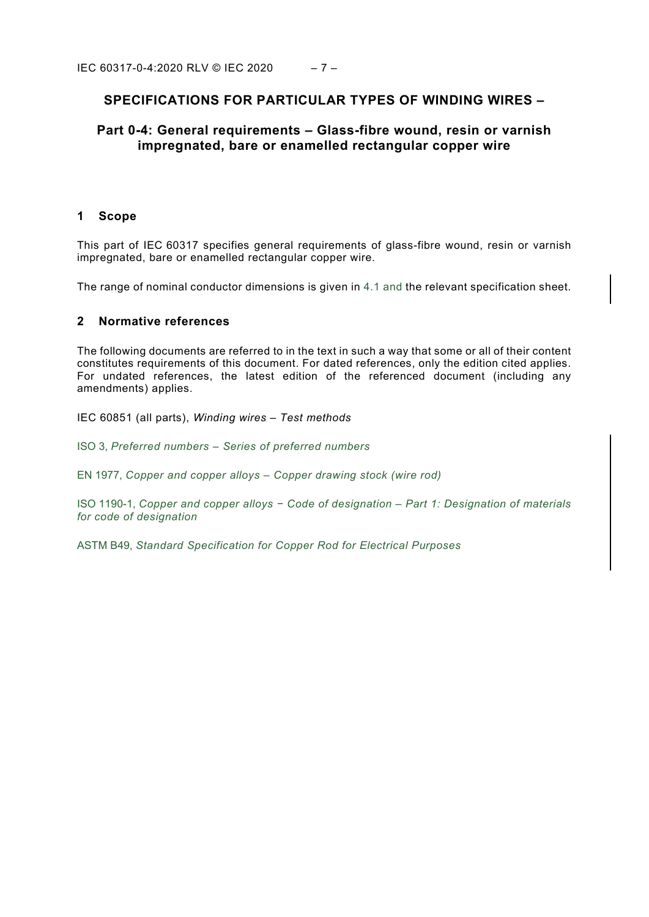### **SPECIFICATIONS FOR PARTICULAR TYPES OF WINDING WIRES –**

## **Part 0-4: General requirements – Glass-fibre wound, resin or varnish impregnated, bare or enamelled rectangular copper wire**

#### <span id="page-6-0"></span>**1 Scope**

This part of IEC 60317 specifies general requirements of glass-fibre wound, resin or varnish impregnated, bare or enamelled rectangular copper wire.

The range of nominal conductor dimensions is given in 4.1 and the relevant specification sheet.

#### <span id="page-6-1"></span>**2 Normative references**

The following documents are referred to in the text in such a way that some or all of their content constitutes requirements of this document. For dated references, only the edition cited applies. For undated references, the latest edition of the referenced document (including any amendments) applies.

IEC 60851 (all parts), *Winding wires – Test methods*

ISO 3, *Preferred numbers – Series of preferred numbers*

EN 1977, *Copper and copper alloys – Copper drawing stock (wire rod)*

ISO 1190-1, *Copper and copper alloys − Code of designation – Part 1: Designation of materials for code of designation*

<span id="page-6-3"></span><span id="page-6-2"></span>ASTM B49, *Standard Specification for Copper Rod for Electrical Purposes*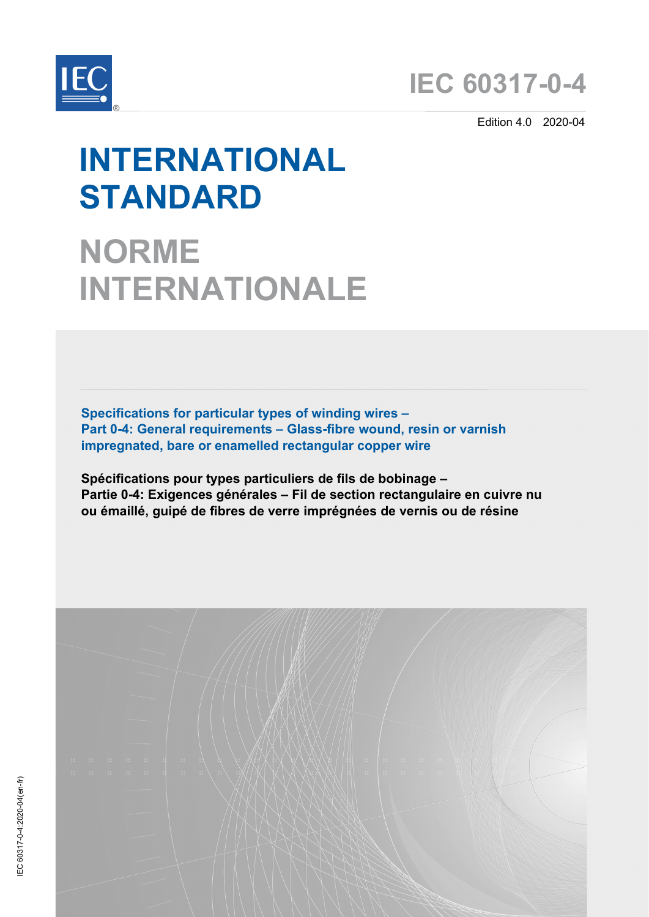

Edition 4.0 2020-04

# **INTERNATIONAL STANDARD**

# **NORME INTERNATIONALE**

**Specifications for particular types of winding wires – Part 0-4: General requirements – Glass-fibre wound, resin or varnish impregnated, bare or enamelled rectangular copper wire** 

**Spécifications pour types particuliers de fils de bobinage – Partie 0-4: Exigences générales – Fil de section rectangulaire en cuivre nu ou émaillé, guipé de fibres de verre imprégnées de vernis ou de résine** 

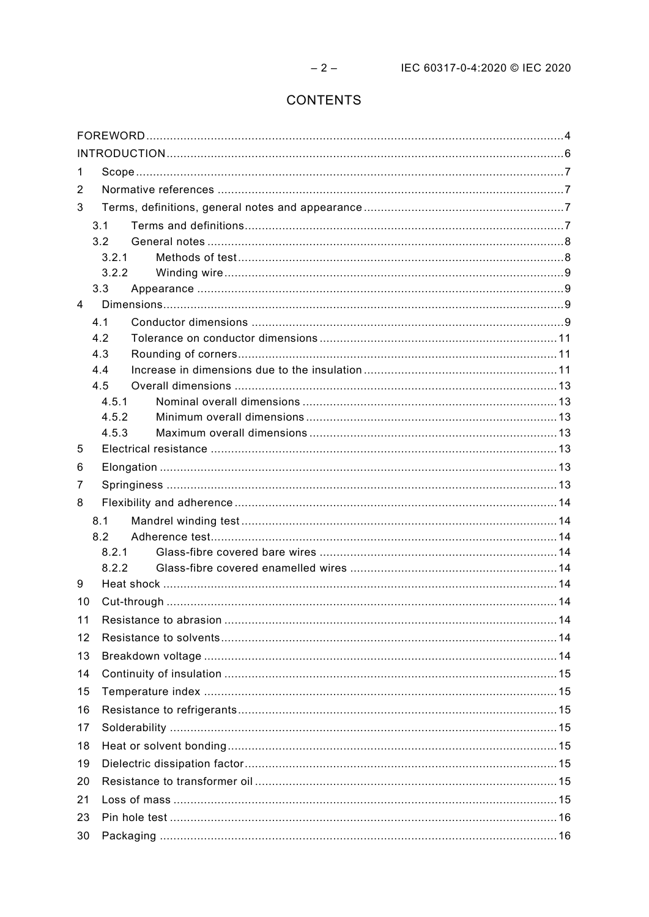## CONTENTS

| 1              |       |  |  |  |
|----------------|-------|--|--|--|
| 2              |       |  |  |  |
| 3              |       |  |  |  |
|                | 3.1   |  |  |  |
|                | 3.2   |  |  |  |
|                | 3.2.1 |  |  |  |
|                | 3.2.2 |  |  |  |
|                | 3.3   |  |  |  |
| $\overline{4}$ |       |  |  |  |
|                | 4.1   |  |  |  |
|                | 4.2   |  |  |  |
|                | 4.3   |  |  |  |
|                | 4.4   |  |  |  |
|                | 4.5   |  |  |  |
|                | 4.5.1 |  |  |  |
|                | 4.5.2 |  |  |  |
|                | 4.5.3 |  |  |  |
| 5              |       |  |  |  |
| 6              |       |  |  |  |
| 7              |       |  |  |  |
| 8              |       |  |  |  |
|                | 8.1   |  |  |  |
|                | 8.2   |  |  |  |
|                | 8.2.1 |  |  |  |
|                | 8.2.2 |  |  |  |
| 9              |       |  |  |  |
| 10             |       |  |  |  |
|                |       |  |  |  |
| 12             |       |  |  |  |
| 13             |       |  |  |  |
| 14             |       |  |  |  |
| 15             |       |  |  |  |
| 16             |       |  |  |  |
| 17             |       |  |  |  |
| 18             |       |  |  |  |
| 19             |       |  |  |  |
| 20             |       |  |  |  |
| 21             |       |  |  |  |
|                |       |  |  |  |
| 23             |       |  |  |  |
| 30             |       |  |  |  |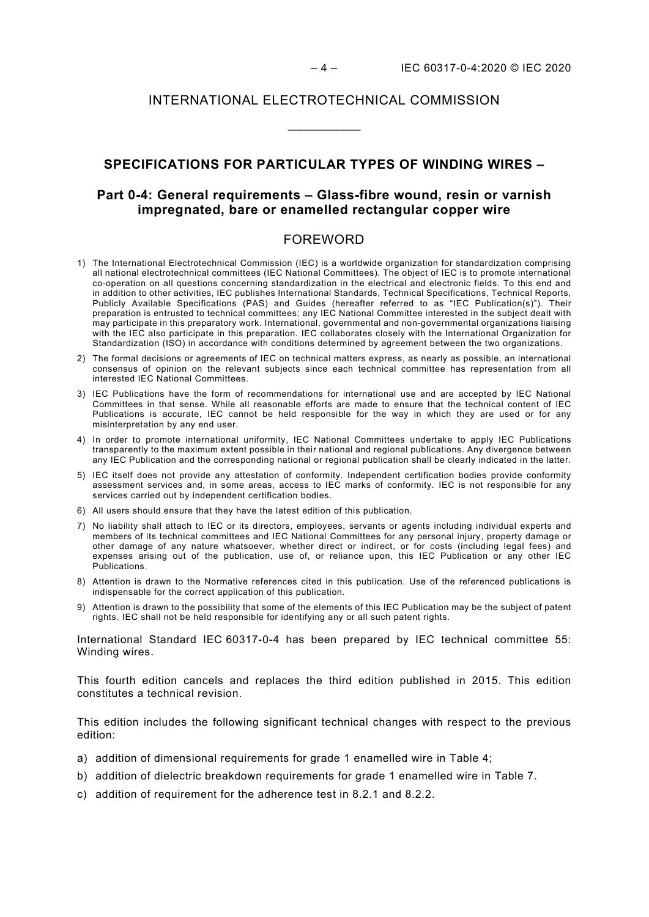#### INTERNATIONAL ELECTROTECHNICAL COMMISSION

\_\_\_\_\_\_\_\_\_\_\_\_

## **SPECIFICATIONS FOR PARTICULAR TYPES OF WINDING WIRES –**

## **Part 0-4: General requirements – Glass-fibre wound, resin or varnish impregnated, bare or enamelled rectangular copper wire**

#### FOREWORD

- <span id="page-10-0"></span>1) The International Electrotechnical Commission (IEC) is a worldwide organization for standardization comprising all national electrotechnical committees (IEC National Committees). The object of IEC is to promote international co-operation on all questions concerning standardization in the electrical and electronic fields. To this end and in addition to other activities, IEC publishes International Standards, Technical Specifications, Technical Reports, Publicly Available Specifications (PAS) and Guides (hereafter referred to as "IEC Publication(s)"). Their preparation is entrusted to technical committees; any IEC National Committee interested in the subject dealt with may participate in this preparatory work. International, governmental and non-governmental organizations liaising with the IEC also participate in this preparation. IEC collaborates closely with the International Organization for Standardization (ISO) in accordance with conditions determined by agreement between the two organizations.
- 2) The formal decisions or agreements of IEC on technical matters express, as nearly as possible, an international consensus of opinion on the relevant subjects since each technical committee has representation from all interested IEC National Committees.
- 3) IEC Publications have the form of recommendations for international use and are accepted by IEC National Committees in that sense. While all reasonable efforts are made to ensure that the technical content of IEC Publications is accurate, IEC cannot be held responsible for the way in which they are used or for any misinterpretation by any end user.
- 4) In order to promote international uniformity, IEC National Committees undertake to apply IEC Publications transparently to the maximum extent possible in their national and regional publications. Any divergence between any IEC Publication and the corresponding national or regional publication shall be clearly indicated in the latter.
- 5) IEC itself does not provide any attestation of conformity. Independent certification bodies provide conformity assessment services and, in some areas, access to IEC marks of conformity. IEC is not responsible for any services carried out by independent certification bodies.
- 6) All users should ensure that they have the latest edition of this publication.
- 7) No liability shall attach to IEC or its directors, employees, servants or agents including individual experts and members of its technical committees and IEC National Committees for any personal injury, property damage or other damage of any nature whatsoever, whether direct or indirect, or for costs (including legal fees) and expenses arising out of the publication, use of, or reliance upon, this IEC Publication or any other IEC Publications.
- 8) Attention is drawn to the Normative references cited in this publication. Use of the referenced publications is indispensable for the correct application of this publication.
- 9) Attention is drawn to the possibility that some of the elements of this IEC Publication may be the subject of patent rights. IEC shall not be held responsible for identifying any or all such patent rights.

International Standard IEC 60317-0-4 has been prepared by IEC technical committee 55: Winding wires.

This fourth edition cancels and replaces the third edition published in 2015. This edition constitutes a technical revision.

This edition includes the following significant technical changes with respect to the previous edition:

- a) addition of dimensional requirements for grade 1 enamelled wire in Table 4;
- b) addition of dielectric breakdown requirements for grade 1 enamelled wire in Table 7.
- c) addition of requirement for the adherence test in 8.2.1 and 8.2.2.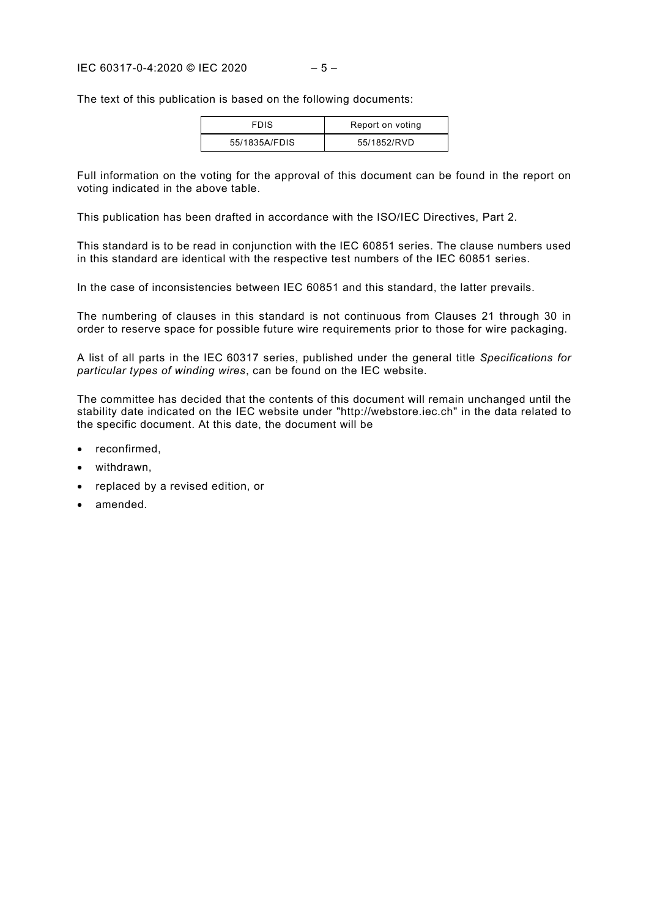The text of this publication is based on the following documents:

| <b>FDIS</b>   | Report on voting |
|---------------|------------------|
| 55/1835A/FDIS | 55/1852/RVD      |

Full information on the voting for the approval of this document can be found in the report on voting indicated in the above table.

This publication has been drafted in accordance with the ISO/IEC Directives, Part 2.

This standard is to be read in conjunction with the IEC 60851 series. The clause numbers used in this standard are identical with the respective test numbers of the IEC 60851 series.

In the case of inconsistencies between IEC 60851 and this standard, the latter prevails.

The numbering of clauses in this standard is not continuous from Clauses 21 through 30 in order to reserve space for possible future wire requirements prior to those for wire packaging.

A list of all parts in the IEC 60317 series, published under the general title *Specifications for particular types of winding wires*, can be found on the IEC website.

The committee has decided that the contents of this document will remain unchanged until the stability date indicated on the IEC website under "http://webstore.iec.ch" in the data related to the specific document. At this date, the document will be

- reconfirmed,
- withdrawn,
- replaced by a revised edition, or
- amended.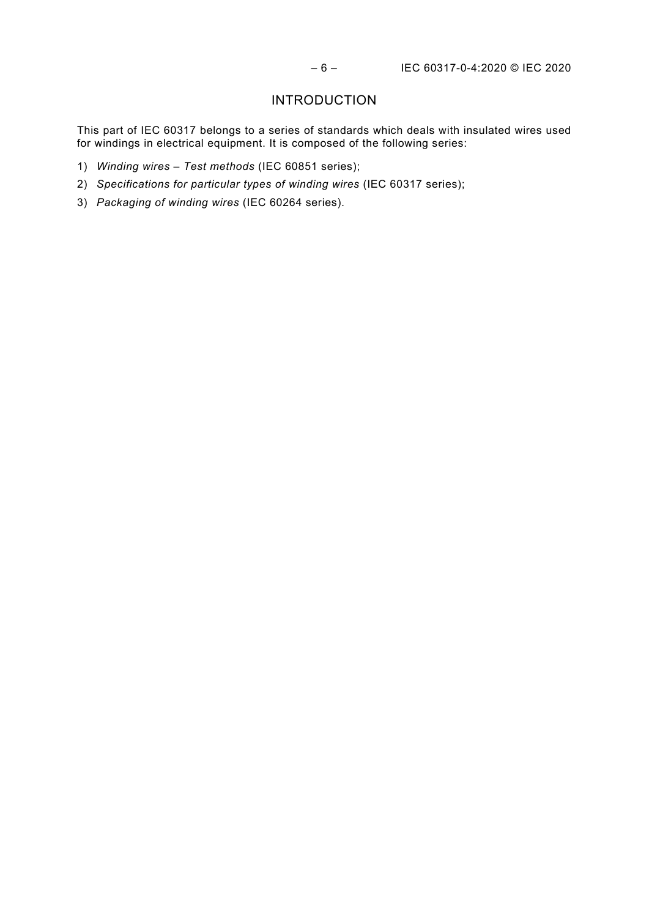## INTRODUCTION

<span id="page-12-0"></span>This part of IEC 60317 belongs to a series of standards which deals with insulated wires used for windings in electrical equipment. It is composed of the following series:

- 1) *Winding wires Test methods* (IEC 60851 series);
- 2) *Specifications for particular types of winding wires* (IEC 60317 series);
- 3) *Packaging of winding wires* (IEC 60264 series).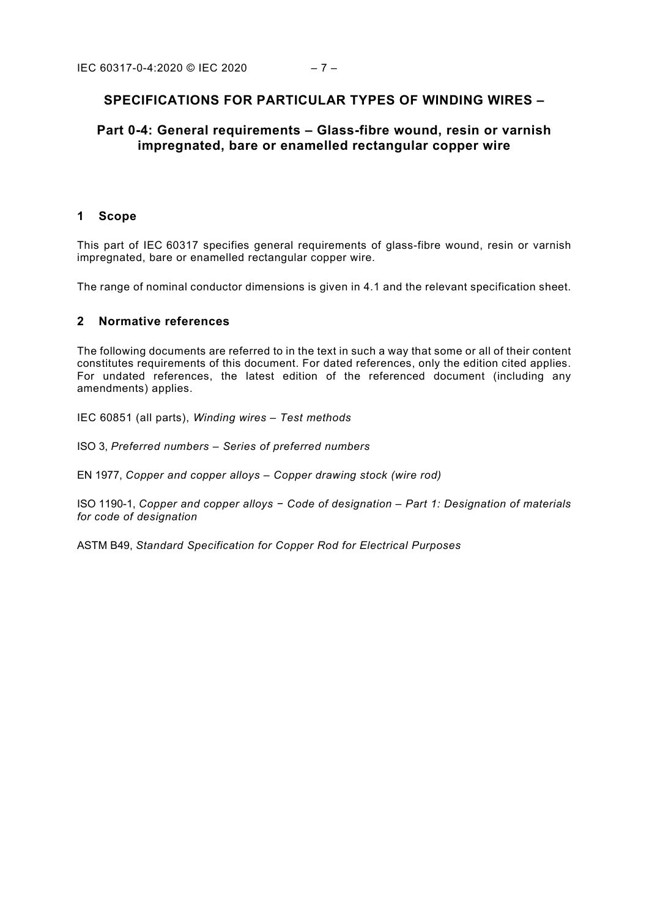#### **SPECIFICATIONS FOR PARTICULAR TYPES OF WINDING WIRES –**

## **Part 0-4: General requirements – Glass-fibre wound, resin or varnish impregnated, bare or enamelled rectangular copper wire**

#### <span id="page-13-0"></span>**1 Scope**

This part of IEC 60317 specifies general requirements of glass-fibre wound, resin or varnish impregnated, bare or enamelled rectangular copper wire.

The range of nominal conductor dimensions is given in 4.1 and the relevant specification sheet.

#### <span id="page-13-1"></span>**2 Normative references**

The following documents are referred to in the text in such a way that some or all of their content constitutes requirements of this document. For dated references, only the edition cited applies. For undated references, the latest edition of the referenced document (including any amendments) applies.

IEC 60851 (all parts), *Winding wires – Test methods*

ISO 3, *Preferred numbers – Series of preferred numbers*

EN 1977, *Copper and copper alloys – Copper drawing stock (wire rod)*

ISO 1190-1, *Copper and copper alloys − Code of designation – Part 1: Designation of materials for code of designation*

<span id="page-13-3"></span><span id="page-13-2"></span>ASTM B49, *Standard Specification for Copper Rod for Electrical Purposes*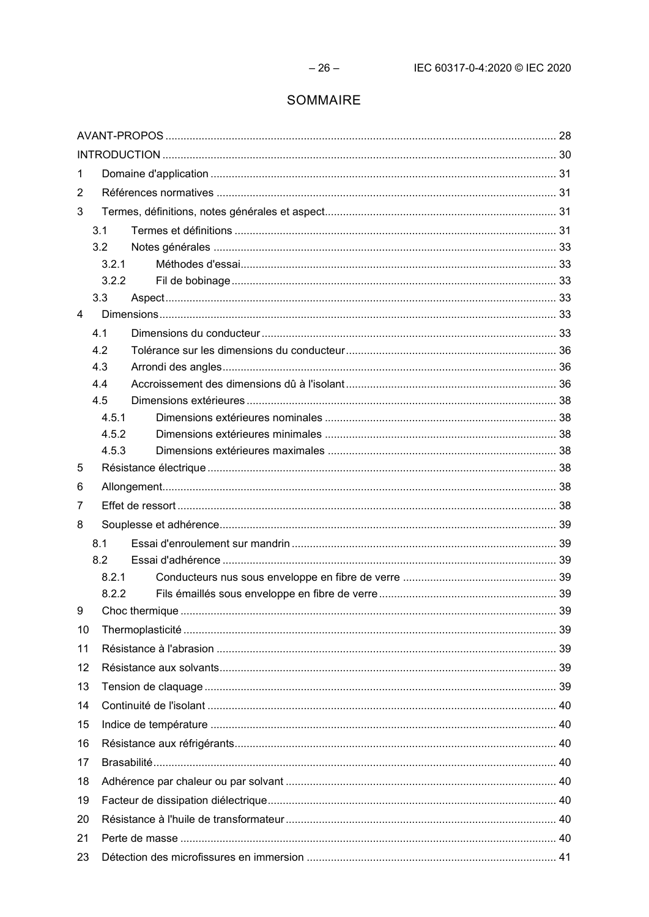## SOMMAIRE

| 1  |       |  |
|----|-------|--|
| 2  |       |  |
| 3  |       |  |
|    | 3.1   |  |
|    | 3.2   |  |
|    | 3.2.1 |  |
|    | 3.2.2 |  |
|    | 3.3   |  |
| 4  |       |  |
|    | 4.1   |  |
|    | 4.2   |  |
|    | 4.3   |  |
|    | 4.4   |  |
|    | 4.5   |  |
|    | 4.5.1 |  |
|    | 4.5.2 |  |
|    | 4.5.3 |  |
| 5  |       |  |
| 6  |       |  |
| 7  |       |  |
| 8  |       |  |
|    | 8.1   |  |
|    | 8.2   |  |
|    | 8.2.1 |  |
|    | 8.2.2 |  |
| 9  |       |  |
| 10 |       |  |
| 11 |       |  |
| 12 |       |  |
| 13 |       |  |
| 14 |       |  |
| 15 |       |  |
| 16 |       |  |
| 17 |       |  |
| 18 |       |  |
| 19 |       |  |
| 20 |       |  |
| 21 |       |  |
| 23 |       |  |
|    |       |  |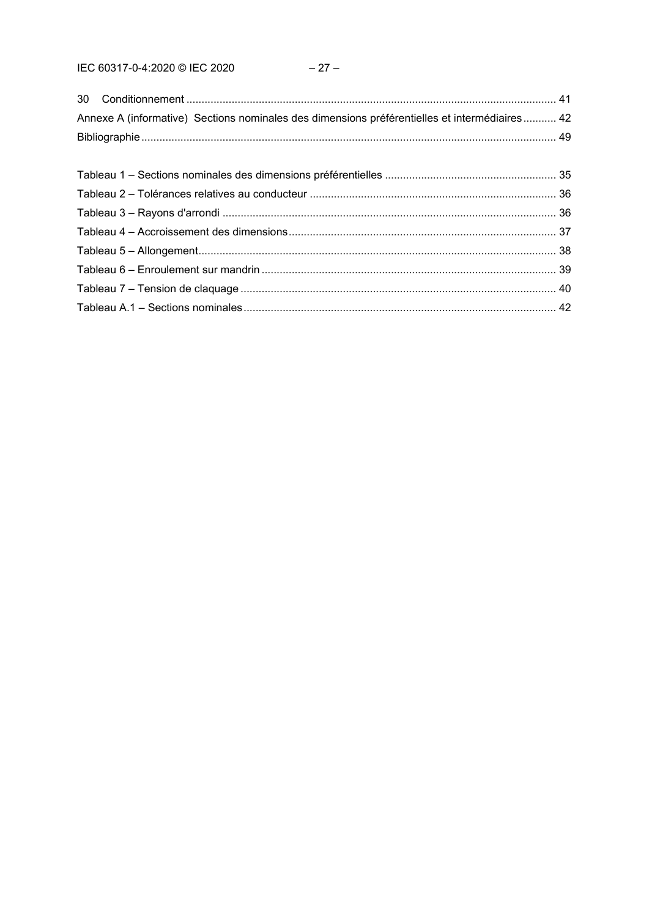IEC 60317-0-4:2020 © IEC 2020 - 27 -

| Annexe A (informative) Sections nominales des dimensions préférentielles et intermédiaires 42 |
|-----------------------------------------------------------------------------------------------|
|                                                                                               |
|                                                                                               |
|                                                                                               |
|                                                                                               |
|                                                                                               |
|                                                                                               |
|                                                                                               |
|                                                                                               |
|                                                                                               |
|                                                                                               |
|                                                                                               |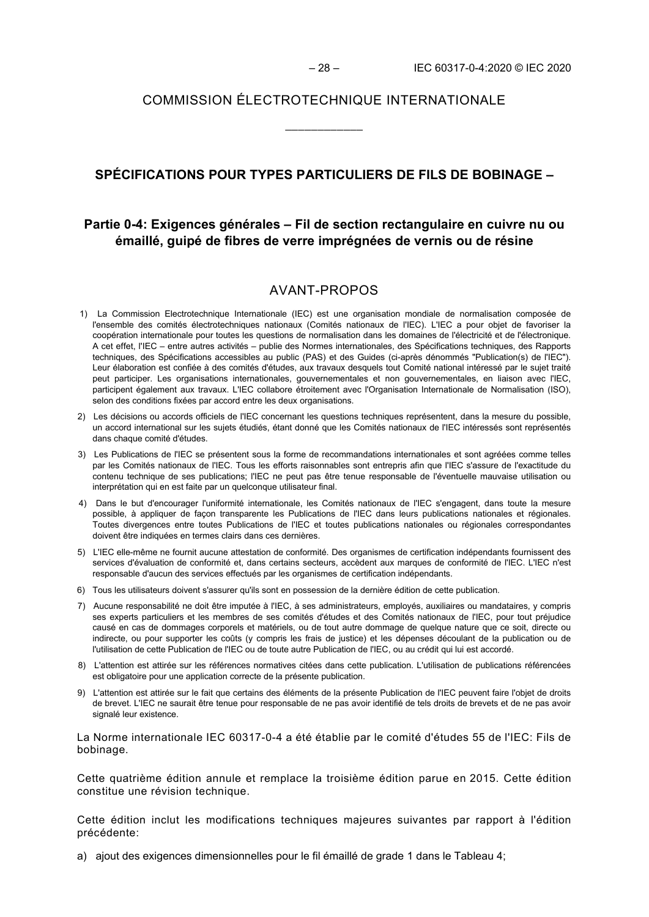## COMMISSION ÉLECTROTECHNIQUE INTERNATIONALE

\_\_\_\_\_\_\_\_\_\_\_\_

## **SPÉCIFICATIONS POUR TYPES PARTICULIERS DE FILS DE BOBINAGE –**

### **Partie 0-4: Exigences générales – Fil de section rectangulaire en cuivre nu ou émaillé, guipé de fibres de verre imprégnées de vernis ou de résine**

#### AVANT-PROPOS

- <span id="page-16-0"></span>1) La Commission Electrotechnique Internationale (IEC) est une organisation mondiale de normalisation composée de l'ensemble des comités électrotechniques nationaux (Comités nationaux de l'IEC). L'IEC a pour objet de favoriser la coopération internationale pour toutes les questions de normalisation dans les domaines de l'électricité et de l'électronique. A cet effet, l'IEC – entre autres activités – publie des Normes internationales, des Spécifications techniques, des Rapports techniques, des Spécifications accessibles au public (PAS) et des Guides (ci-après dénommés "Publication(s) de l'IEC"). Leur élaboration est confiée à des comités d'études, aux travaux desquels tout Comité national intéressé par le sujet traité peut participer. Les organisations internationales, gouvernementales et non gouvernementales, en liaison avec l'IEC, participent également aux travaux. L'IEC collabore étroitement avec l'Organisation Internationale de Normalisation (ISO), selon des conditions fixées par accord entre les deux organisations.
- 2) Les décisions ou accords officiels de l'IEC concernant les questions techniques représentent, dans la mesure du possible, un accord international sur les sujets étudiés, étant donné que les Comités nationaux de l'IEC intéressés sont représentés dans chaque comité d'études.
- 3) Les Publications de l'IEC se présentent sous la forme de recommandations internationales et sont agréées comme telles par les Comités nationaux de l'IEC. Tous les efforts raisonnables sont entrepris afin que l'IEC s'assure de l'exactitude du contenu technique de ses publications; l'IEC ne peut pas être tenue responsable de l'éventuelle mauvaise utilisation ou interprétation qui en est faite par un quelconque utilisateur final.
- 4) Dans le but d'encourager l'uniformité internationale, les Comités nationaux de l'IEC s'engagent, dans toute la mesure possible, à appliquer de façon transparente les Publications de l'IEC dans leurs publications nationales et régionales. Toutes divergences entre toutes Publications de l'IEC et toutes publications nationales ou régionales correspondantes doivent être indiquées en termes clairs dans ces dernières.
- 5) L'IEC elle-même ne fournit aucune attestation de conformité. Des organismes de certification indépendants fournissent des services d'évaluation de conformité et, dans certains secteurs, accèdent aux marques de conformité de l'IEC. L'IEC n'est responsable d'aucun des services effectués par les organismes de certification indépendants.
- 6) Tous les utilisateurs doivent s'assurer qu'ils sont en possession de la dernière édition de cette publication.
- 7) Aucune responsabilité ne doit être imputée à l'IEC, à ses administrateurs, employés, auxiliaires ou mandataires, y compris ses experts particuliers et les membres de ses comités d'études et des Comités nationaux de l'IEC, pour tout préjudice causé en cas de dommages corporels et matériels, ou de tout autre dommage de quelque nature que ce soit, directe ou indirecte, ou pour supporter les coûts (y compris les frais de justice) et les dépenses découlant de la publication ou de l'utilisation de cette Publication de l'IEC ou de toute autre Publication de l'IEC, ou au crédit qui lui est accordé.
- 8) L'attention est attirée sur les références normatives citées dans cette publication. L'utilisation de publications référencées est obligatoire pour une application correcte de la présente publication.
- 9) L'attention est attirée sur le fait que certains des éléments de la présente Publication de l'IEC peuvent faire l'objet de droits de brevet. L'IEC ne saurait être tenue pour responsable de ne pas avoir identifié de tels droits de brevets et de ne pas avoir signalé leur existence.

La Norme internationale IEC 60317-0-4 a été établie par le comité d'études 55 de l'IEC: Fils de bobinage.

Cette quatrième édition annule et remplace la troisième édition parue en 2015. Cette édition constitue une révision technique.

Cette édition inclut les modifications techniques majeures suivantes par rapport à l'édition précédente:

a) ajout des exigences dimensionnelles pour le fil émaillé de grade 1 dans le Tableau 4;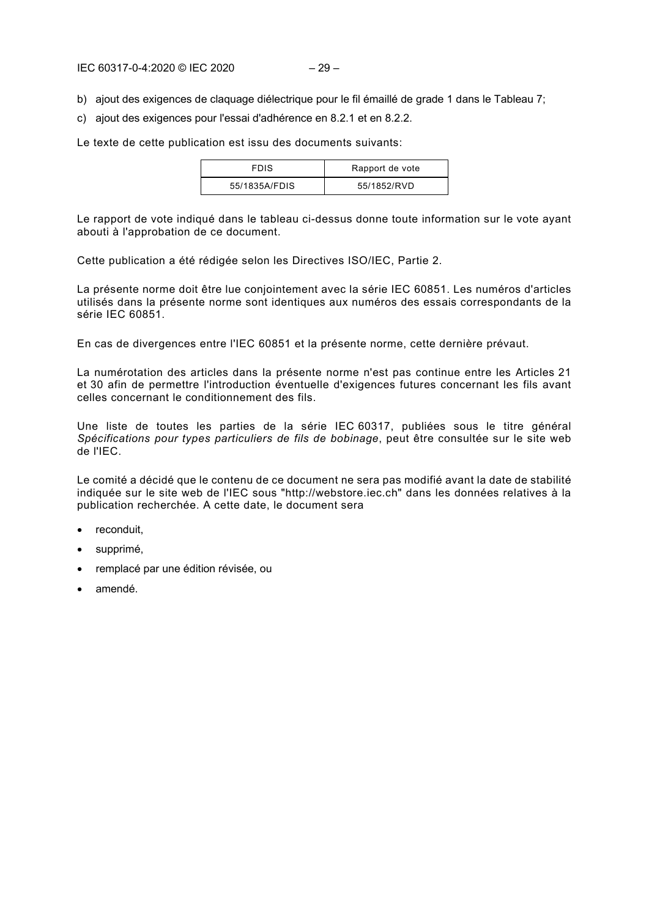- b) ajout des exigences de claquage diélectrique pour le fil émaillé de grade 1 dans le Tableau 7;
- c) ajout des exigences pour l'essai d'adhérence en 8.2.1 et en 8.2.2.

Le texte de cette publication est issu des documents suivants:

| <b>FDIS</b>   | Rapport de vote |
|---------------|-----------------|
| 55/1835A/FDIS | 55/1852/RVD     |

Le rapport de vote indiqué dans le tableau ci-dessus donne toute information sur le vote ayant abouti à l'approbation de ce document.

Cette publication a été rédigée selon les Directives ISO/IEC, Partie 2.

La présente norme doit être lue conjointement avec la série IEC 60851. Les numéros d'articles utilisés dans la présente norme sont identiques aux numéros des essais correspondants de la série IEC 60851.

En cas de divergences entre l'IEC 60851 et la présente norme, cette dernière prévaut.

La numérotation des articles dans la présente norme n'est pas continue entre les Articles 21 et 30 afin de permettre l'introduction éventuelle d'exigences futures concernant les fils avant celles concernant le conditionnement des fils.

Une liste de toutes les parties de la série IEC 60317, publiées sous le titre général *Spécifications pour types particuliers de fils de bobinage*, peut être consultée sur le site web de l'IEC.

Le comité a décidé que le contenu de ce document ne sera pas modifié avant la date de stabilité indiquée sur le site web de l'IEC sous "http://webstore.iec.ch" dans les données relatives à la publication recherchée. A cette date, le document sera

- reconduit,
- supprimé,
- remplacé par une édition révisée, ou
- amendé.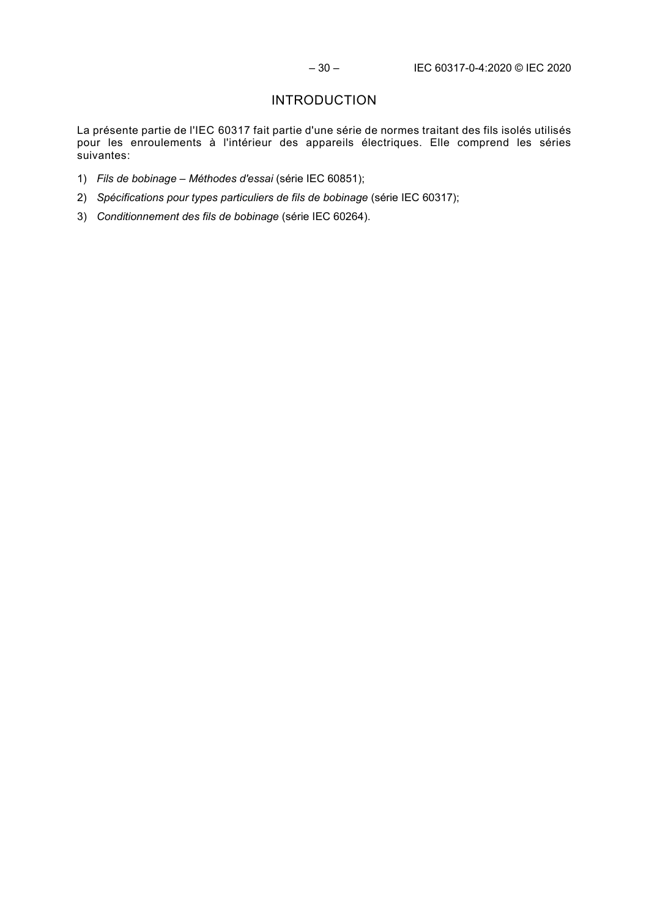### INTRODUCTION

<span id="page-18-0"></span>La présente partie de l'IEC 60317 fait partie d'une série de normes traitant des fils isolés utilisés pour les enroulements à l'intérieur des appareils électriques. Elle comprend les séries suivantes:

- 1) *Fils de bobinage Méthodes d'essai* (série IEC 60851);
- 2) *Spécifications pour types particuliers de fils de bobinage* (série IEC 60317);
- 3) *Conditionnement des fils de bobinage* (série IEC 60264).